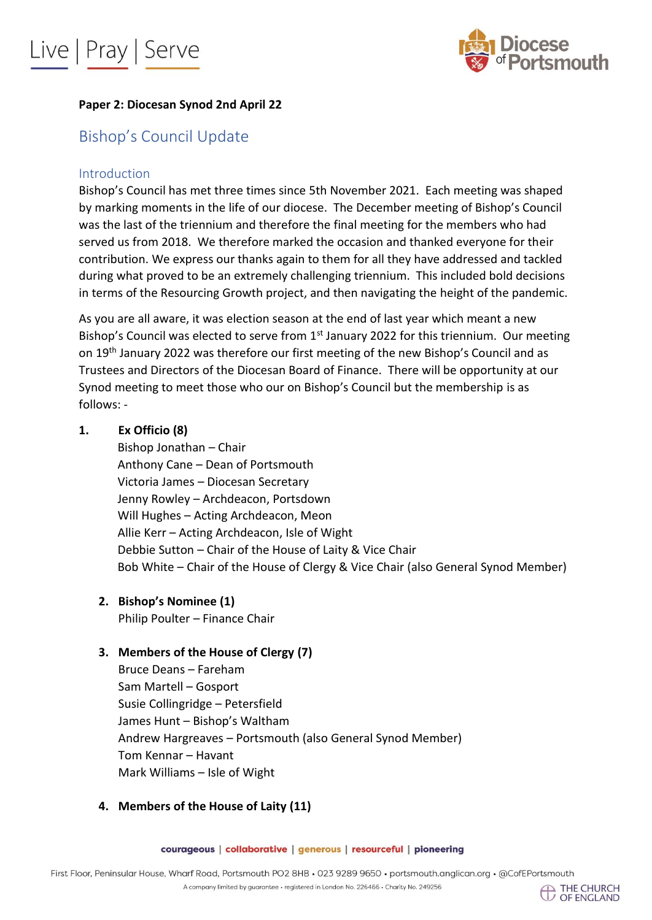



### **Paper 2: Diocesan Synod 2nd April 22**

### Bishop's Council Update

### Introduction

Bishop's Council has met three times since 5th November 2021. Each meeting was shaped by marking moments in the life of our diocese. The December meeting of Bishop's Council was the last of the triennium and therefore the final meeting for the members who had served us from 2018. We therefore marked the occasion and thanked everyone for their contribution. We express our thanks again to them for all they have addressed and tackled during what proved to be an extremely challenging triennium. This included bold decisions in terms of the Resourcing Growth project, and then navigating the height of the pandemic.

As you are all aware, it was election season at the end of last year which meant a new Bishop's Council was elected to serve from 1<sup>st</sup> January 2022 for this triennium. Our meeting on 19th January 2022 was therefore our first meeting of the new Bishop's Council and as Trustees and Directors of the Diocesan Board of Finance. There will be opportunity at our Synod meeting to meet those who our on Bishop's Council but the membership is as follows: -

#### **1. Ex Officio (8)**

Bishop Jonathan – Chair Anthony Cane – Dean of Portsmouth Victoria James – Diocesan Secretary Jenny Rowley – Archdeacon, Portsdown Will Hughes – Acting Archdeacon, Meon Allie Kerr – Acting Archdeacon, Isle of Wight Debbie Sutton – Chair of the House of Laity & Vice Chair Bob White – Chair of the House of Clergy & Vice Chair (also General Synod Member)

**2. Bishop's Nominee (1)**

Philip Poulter – Finance Chair

### **3. Members of the House of Clergy (7)**

Bruce Deans – Fareham Sam Martell – Gosport Susie Collingridge – Petersfield James Hunt – Bishop's Waltham Andrew Hargreaves – Portsmouth (also General Synod Member) Tom Kennar – Havant Mark Williams – Isle of Wight

### **4. Members of the House of Laity (11)**

courageous | collaborative | generous | resourceful | pioneering

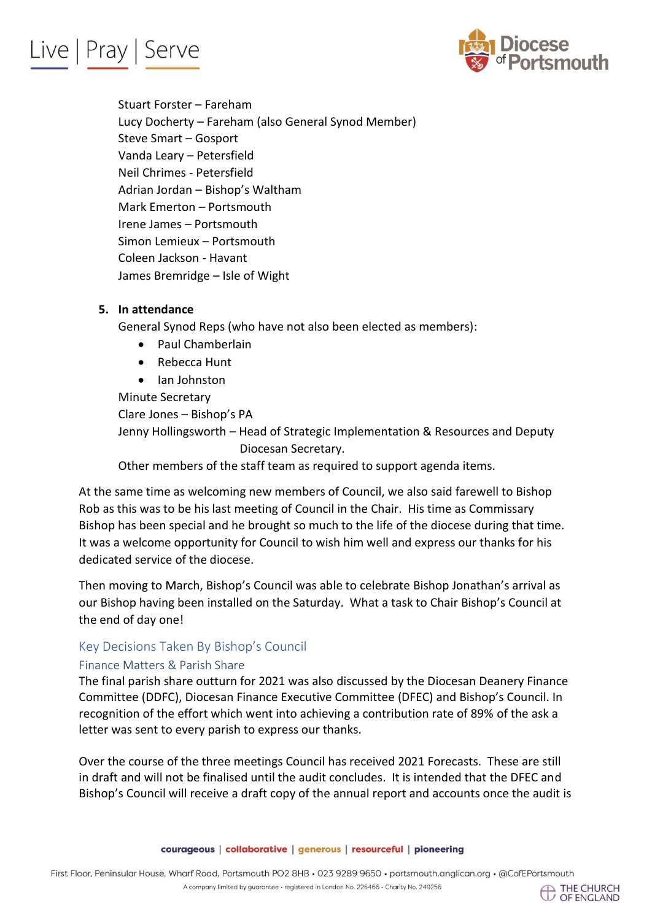# Live | Pray | Serve



Stuart Forster – Fareham Lucy Docherty – Fareham (also General Synod Member) Steve Smart – Gosport Vanda Leary – Petersfield Neil Chrimes - Petersfield Adrian Jordan – Bishop's Waltham Mark Emerton – Portsmouth Irene James – Portsmouth Simon Lemieux – Portsmouth Coleen Jackson - Havant James Bremridge – Isle of Wight

### **5. In attendance**

General Synod Reps (who have not also been elected as members):

- Paul Chamberlain
- Rebecca Hunt
- Ian Johnston

Minute Secretary Clare Jones – Bishop's PA

Jenny Hollingsworth – Head of Strategic Implementation & Resources and Deputy Diocesan Secretary.

Other members of the staff team as required to support agenda items.

At the same time as welcoming new members of Council, we also said farewell to Bishop Rob as this was to be his last meeting of Council in the Chair. His time as Commissary Bishop has been special and he brought so much to the life of the diocese during that time. It was a welcome opportunity for Council to wish him well and express our thanks for his dedicated service of the diocese.

Then moving to March, Bishop's Council was able to celebrate Bishop Jonathan's arrival as our Bishop having been installed on the Saturday. What a task to Chair Bishop's Council at the end of day one!

### Key Decisions Taken By Bishop's Council

### Finance Matters & Parish Share

The final parish share outturn for 2021 was also discussed by the Diocesan Deanery Finance Committee (DDFC), Diocesan Finance Executive Committee (DFEC) and Bishop's Council. In recognition of the effort which went into achieving a contribution rate of 89% of the ask a letter was sent to every parish to express our thanks.

Over the course of the three meetings Council has received 2021 Forecasts. These are still in draft and will not be finalised until the audit concludes. It is intended that the DFEC and Bishop's Council will receive a draft copy of the annual report and accounts once the audit is

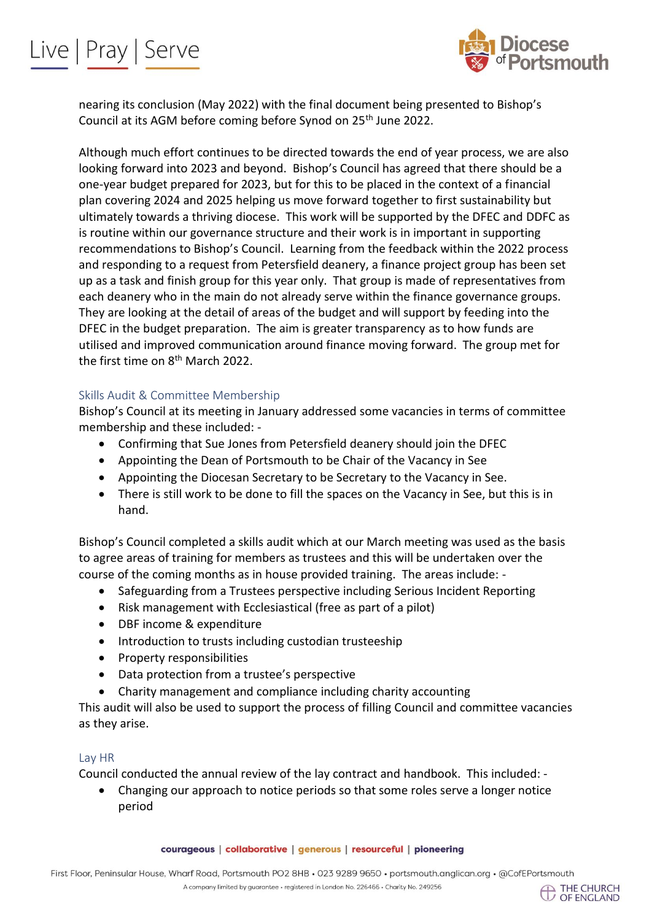



nearing its conclusion (May 2022) with the final document being presented to Bishop's Council at its AGM before coming before Synod on 25<sup>th</sup> June 2022.

Although much effort continues to be directed towards the end of year process, we are also looking forward into 2023 and beyond. Bishop's Council has agreed that there should be a one-year budget prepared for 2023, but for this to be placed in the context of a financial plan covering 2024 and 2025 helping us move forward together to first sustainability but ultimately towards a thriving diocese. This work will be supported by the DFEC and DDFC as is routine within our governance structure and their work is in important in supporting recommendations to Bishop's Council. Learning from the feedback within the 2022 process and responding to a request from Petersfield deanery, a finance project group has been set up as a task and finish group for this year only. That group is made of representatives from each deanery who in the main do not already serve within the finance governance groups. They are looking at the detail of areas of the budget and will support by feeding into the DFEC in the budget preparation. The aim is greater transparency as to how funds are utilised and improved communication around finance moving forward. The group met for the first time on 8<sup>th</sup> March 2022.

#### Skills Audit & Committee Membership

Bishop's Council at its meeting in January addressed some vacancies in terms of committee membership and these included: -

- Confirming that Sue Jones from Petersfield deanery should join the DFEC
- Appointing the Dean of Portsmouth to be Chair of the Vacancy in See
- Appointing the Diocesan Secretary to be Secretary to the Vacancy in See.
- There is still work to be done to fill the spaces on the Vacancy in See, but this is in hand.

Bishop's Council completed a skills audit which at our March meeting was used as the basis to agree areas of training for members as trustees and this will be undertaken over the course of the coming months as in house provided training. The areas include: -

- Safeguarding from a Trustees perspective including Serious Incident Reporting
- Risk management with Ecclesiastical (free as part of a pilot)
- DBF income & expenditure
- Introduction to trusts including custodian trusteeship
- Property responsibilities
- Data protection from a trustee's perspective
- Charity management and compliance including charity accounting

This audit will also be used to support the process of filling Council and committee vacancies as they arise.

#### Lay HR

Council conducted the annual review of the lay contract and handbook. This included: -

• Changing our approach to notice periods so that some roles serve a longer notice period

courageous | collaborative | generous | resourceful | pioneering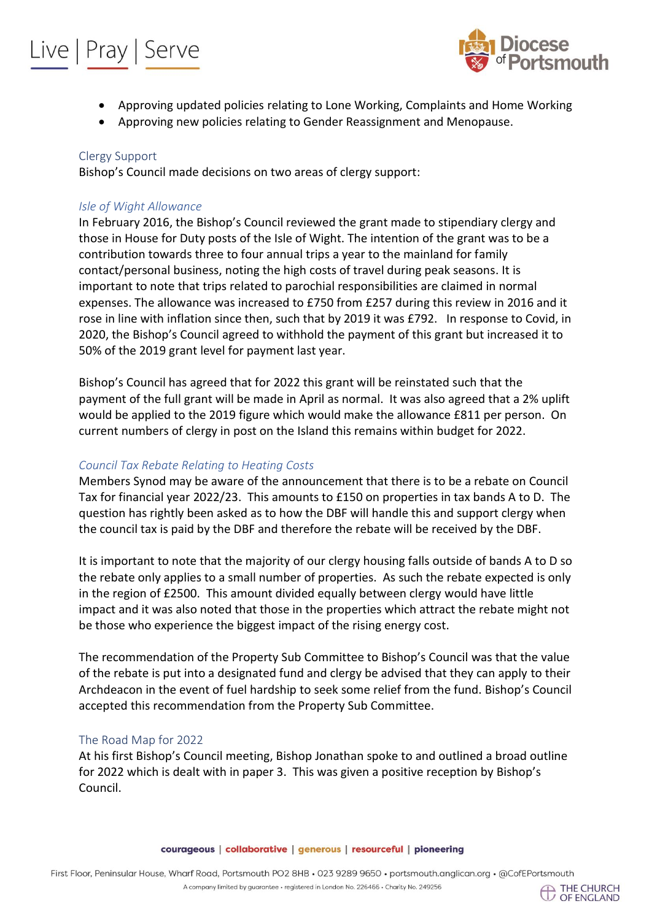## Live | Pray | Serve



- Approving updated policies relating to Lone Working, Complaints and Home Working
- Approving new policies relating to Gender Reassignment and Menopause.

#### Clergy Support

Bishop's Council made decisions on two areas of clergy support:

#### *Isle of Wight Allowance*

In February 2016, the Bishop's Council reviewed the grant made to stipendiary clergy and those in House for Duty posts of the Isle of Wight. The intention of the grant was to be a contribution towards three to four annual trips a year to the mainland for family contact/personal business, noting the high costs of travel during peak seasons. It is important to note that trips related to parochial responsibilities are claimed in normal expenses. The allowance was increased to £750 from £257 during this review in 2016 and it rose in line with inflation since then, such that by 2019 it was £792. In response to Covid, in 2020, the Bishop's Council agreed to withhold the payment of this grant but increased it to 50% of the 2019 grant level for payment last year.

Bishop's Council has agreed that for 2022 this grant will be reinstated such that the payment of the full grant will be made in April as normal. It was also agreed that a 2% uplift would be applied to the 2019 figure which would make the allowance £811 per person. On current numbers of clergy in post on the Island this remains within budget for 2022.

#### *Council Tax Rebate Relating to Heating Costs*

Members Synod may be aware of the announcement that there is to be a rebate on Council Tax for financial year 2022/23. This amounts to £150 on properties in tax bands A to D. The question has rightly been asked as to how the DBF will handle this and support clergy when the council tax is paid by the DBF and therefore the rebate will be received by the DBF.

It is important to note that the majority of our clergy housing falls outside of bands A to D so the rebate only applies to a small number of properties. As such the rebate expected is only in the region of £2500. This amount divided equally between clergy would have little impact and it was also noted that those in the properties which attract the rebate might not be those who experience the biggest impact of the rising energy cost.

The recommendation of the Property Sub Committee to Bishop's Council was that the value of the rebate is put into a designated fund and clergy be advised that they can apply to their Archdeacon in the event of fuel hardship to seek some relief from the fund. Bishop's Council accepted this recommendation from the Property Sub Committee.

#### The Road Map for 2022

At his first Bishop's Council meeting, Bishop Jonathan spoke to and outlined a broad outline for 2022 which is dealt with in paper 3. This was given a positive reception by Bishop's Council.

#### courageous | collaborative | generous | resourceful | pioneering